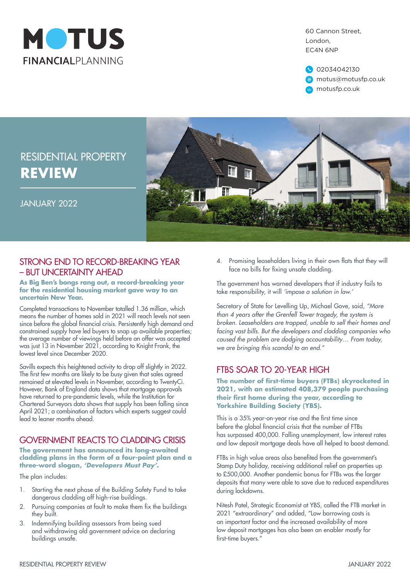

60 Cannon Street, London, EC4N 6NP

02034042130 @ motus@motusfp.co.uk w motusfp.co.uk

## RESIDENTIAL PROPERTY **REVIEW**



#### JANUARY 2022

### STRONG END TO RECORD-BREAKING YEAR – BUT UNCERTAINTY AHEAD

#### **As Big Ben's bongs rang out, a record-breaking year for the residential housing market gave way to an uncertain New Year.**

Completed transactions to November totalled 1.36 million, which means the number of homes sold in 2021 will reach levels not seen since before the global financial crisis. Persistently high demand and constrained supply have led buyers to snap up available properties; the average number of viewings held before an offer was accepted was just 13 in November 2021, according to Knight Frank, the lowest level since December 2020.

Savills expects this heightened activity to drop off slightly in 2022. The first few months are likely to be busy given that sales agreed remained at elevated levels in November, according to TwentyCi. However, Bank of England data shows that mortgage approvals have returned to pre-pandemic levels, while the Institution for Chartered Surveyors data shows that supply has been falling since April 2021; a combination of factors which experts suggest could lead to leaner months ahead.

## GOVERNMENT REACTS TO CLADDING CRISIS

#### **The government has announced its long-awaited cladding plans in the form of a four-point plan and a three-word slogan,** *'Developers Must Pay'***.**

The plan includes:

- 1. Starting the next phase of the Building Safety Fund to take dangerous cladding off high-rise buildings.
- 2. Pursuing companies at fault to make them fix the buildings they built.
- 3. Indemnifying building assessors from being sued and withdrawing old government advice on declaring buildings unsafe.

4. Promising leaseholders living in their own flats that they will face no bills for fixing unsafe cladding.

The government has warned developers that if industry fails to take responsibility, it will *'impose a solution in law.'*

Secretary of State for Levelling Up, Michael Gove, said, *"More than 4 years after the Grenfell Tower tragedy, the system is broken. Leaseholders are trapped, unable to sell their homes and facing vast bills. But the developers and cladding companies who caused the problem are dodging accountability… From today, we are bringing this scandal to an end."*

### FTBS SOAR TO 20-YEAR HIGH

**The number of first-time buyers (FTBs) skyrocketed in 2021, with an estimated 408,379 people purchasing their first home during the year, according to Yorkshire Building Society (YBS).**

This is a 35% year-on-year rise and the first time since before the global financial crisis that the number of FTBs has surpassed 400,000. Falling unemployment, low interest rates and low deposit mortgage deals have all helped to boost demand.

FTBs in high value areas also benefited from the government's Stamp Duty holiday, receiving additional relief on properties up to £500,000. Another pandemic bonus for FTBs was the larger deposits that many were able to save due to reduced expenditures during lockdowns.

Nitesh Patel, Strategic Economist at YBS, called the FTB market in 2021 "extraordinary" and added, "Low borrowing costs is an important factor and the increased availability of more low deposit mortgages has also been an enabler mostly for first-time buyers."